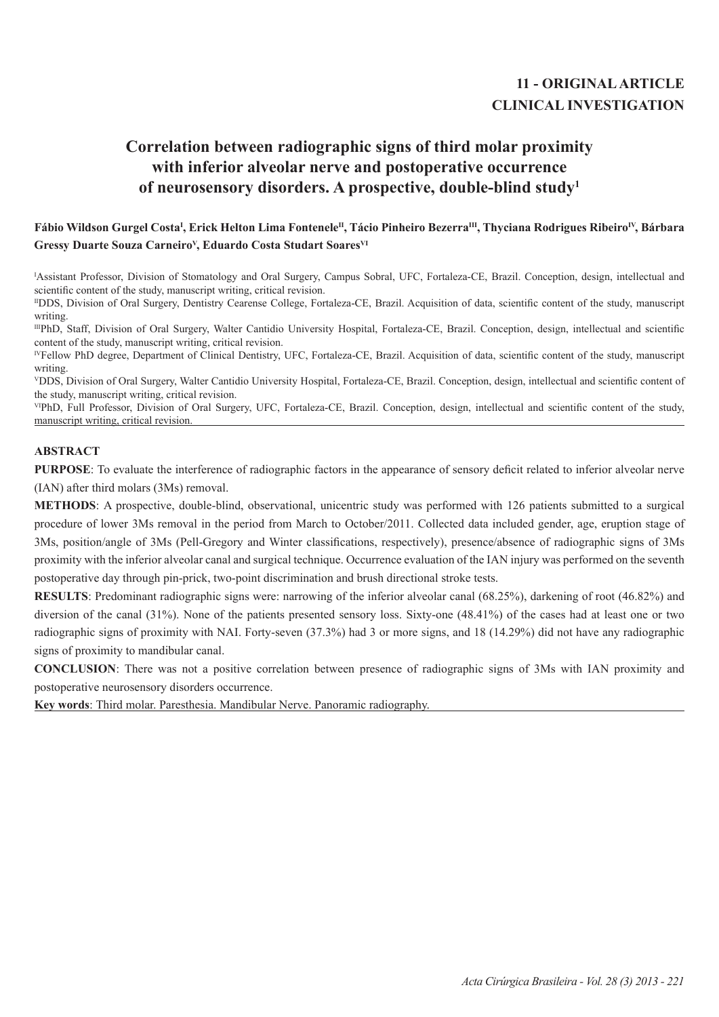## **11 - ORIGINAL ARTICLE CLINICAL INVESTIGATION**

# **Correlation between radiographic signs of third molar proximity with inferior alveolar nerve and postoperative occurrence of neurosensory disorders. A prospective, double-blind study1**

## Fábio Wildson Gurgel Costa<sup>ı</sup>, Erick Helton Lima Fontenele<sup>n</sup>, Tácio Pinheiro Bezerra<sup>m</sup>, Thyciana Rodrigues Ribeiro<sup>IV</sup>, Bárbara Gressy Duarte Souza Carneiro<sup>v</sup>, Eduardo Costa Studart Soares<sup>VI</sup>

I Assistant Professor, Division of Stomatology and Oral Surgery, Campus Sobral, UFC, Fortaleza-CE, Brazil. Conception, design, intellectual and scientific content of the study, manuscript writing, critical revision.

IIDDS, Division of Oral Surgery, Dentistry Cearense College, Fortaleza-CE, Brazil. Acquisition of data, scientific content of the study, manuscript writing.

IIIPhD, Staff, Division of Oral Surgery, Walter Cantidio University Hospital, Fortaleza-CE, Brazil. Conception, design, intellectual and scientific content of the study, manuscript writing, critical revision.

IVFellow PhD degree, Department of Clinical Dentistry, UFC, Fortaleza-CE, Brazil. Acquisition of data, scientific content of the study, manuscript writing.

<sup>V</sup>DDS, Division of Oral Surgery, Walter Cantidio University Hospital, Fortaleza-CE, Brazil. Conception, design, intellectual and scientific content of the study, manuscript writing, critical revision.

VIPhD, Full Professor, Division of Oral Surgery, UFC, Fortaleza-CE, Brazil. Conception, design, intellectual and scientific content of the study, manuscript writing, critical revision.

### **ABSTRACT**

**PURPOSE**: To evaluate the interference of radiographic factors in the appearance of sensory deficit related to inferior alveolar nerve (IAN) after third molars (3Ms) removal.

**METHODS**: A prospective, double-blind, observational, unicentric study was performed with 126 patients submitted to a surgical procedure of lower 3Ms removal in the period from March to October/2011. Collected data included gender, age, eruption stage of 3Ms, position/angle of 3Ms (Pell-Gregory and Winter classifications, respectively), presence/absence of radiographic signs of 3Ms proximity with the inferior alveolar canal and surgical technique. Occurrence evaluation of the IAN injury was performed on the seventh postoperative day through pin-prick, two-point discrimination and brush directional stroke tests.

**RESULTS**: Predominant radiographic signs were: narrowing of the inferior alveolar canal (68.25%), darkening of root (46.82%) and diversion of the canal (31%). None of the patients presented sensory loss. Sixty-one (48.41%) of the cases had at least one or two radiographic signs of proximity with NAI. Forty-seven (37.3%) had 3 or more signs, and 18 (14.29%) did not have any radiographic signs of proximity to mandibular canal.

**CONCLUSION**: There was not a positive correlation between presence of radiographic signs of 3Ms with IAN proximity and postoperative neurosensory disorders occurrence.

**Key words**: Third molar. Paresthesia. Mandibular Nerve. Panoramic radiography.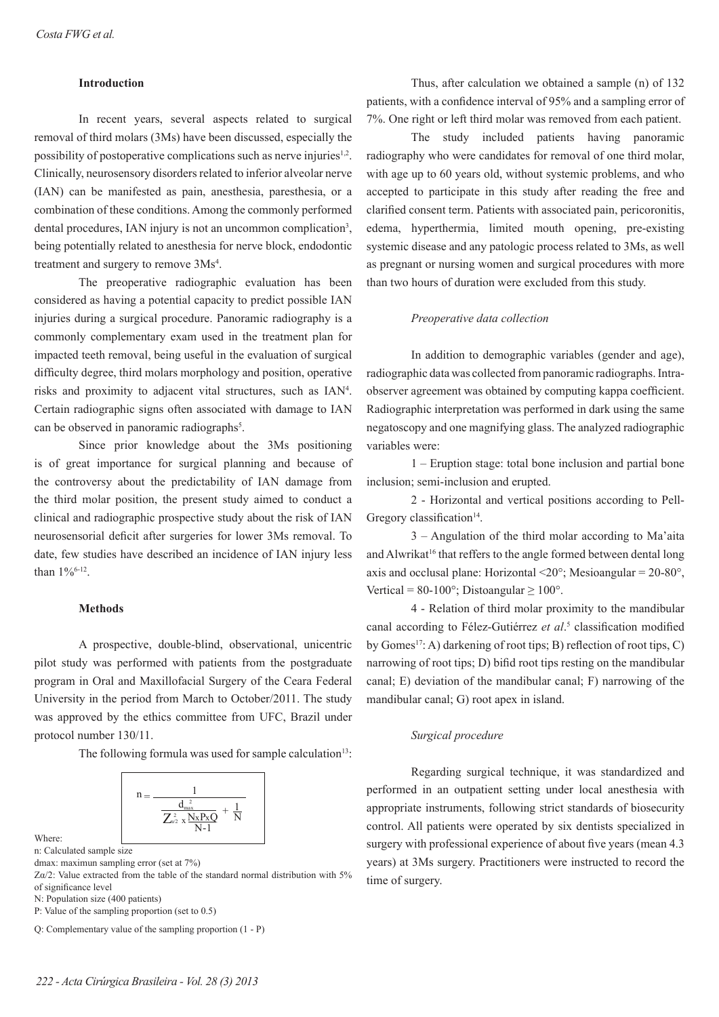#### **Introduction**

In recent years, several aspects related to surgical removal of third molars (3Ms) have been discussed, especially the possibility of postoperative complications such as nerve injuries $1,2$ . Clinically, neurosensory disorders related to inferior alveolar nerve (IAN) can be manifested as pain, anesthesia, paresthesia, or a combination of these conditions. Among the commonly performed dental procedures, IAN injury is not an uncommon complication<sup>3</sup>, being potentially related to anesthesia for nerve block, endodontic treatment and surgery to remove 3Ms<sup>4</sup>.

The preoperative radiographic evaluation has been considered as having a potential capacity to predict possible IAN injuries during a surgical procedure. Panoramic radiography is a commonly complementary exam used in the treatment plan for impacted teeth removal, being useful in the evaluation of surgical difficulty degree, third molars morphology and position, operative risks and proximity to adjacent vital structures, such as IAN<sup>4</sup>. Certain radiographic signs often associated with damage to IAN can be observed in panoramic radiographs<sup>5</sup>.

Since prior knowledge about the 3Ms positioning is of great importance for surgical planning and because of the controversy about the predictability of IAN damage from the third molar position, the present study aimed to conduct a clinical and radiographic prospective study about the risk of IAN neurosensorial deficit after surgeries for lower 3Ms removal. To date, few studies have described an incidence of IAN injury less than 1%6-12.

#### **Methods**

A prospective, double-blind, observational, unicentric pilot study was performed with patients from the postgraduate program in Oral and Maxillofacial Surgery of the Ceara Federal University in the period from March to October/2011. The study was approved by the ethics committee from UFC, Brazil under protocol number 130/11.

The following formula was used for sample calculation<sup>13</sup>:

$$
n = \frac{1}{\frac{d_{\max}^2}{Z_{\omega 2}^2 \, x \frac{N_X P_X Q}{N-1}} + \frac{1}{N}}
$$

Where:

n: Calculated sample size

Zα/2: Value extracted from the table of the standard normal distribution with 5% of significance level

N: Population size (400 patients)

P: Value of the sampling proportion (set to 0.5)

Q: Complementary value of the sampling proportion (1 - P)

Thus, after calculation we obtained a sample (n) of 132 patients, with a confidence interval of 95% and a sampling error of 7%. One right or left third molar was removed from each patient.

The study included patients having panoramic radiography who were candidates for removal of one third molar, with age up to 60 years old, without systemic problems, and who accepted to participate in this study after reading the free and clarified consent term. Patients with associated pain, pericoronitis, edema, hyperthermia, limited mouth opening, pre-existing systemic disease and any patologic process related to 3Ms, as well as pregnant or nursing women and surgical procedures with more than two hours of duration were excluded from this study.

#### *Preoperative data collection*

In addition to demographic variables (gender and age), radiographic data was collected from panoramic radiographs. Intraobserver agreement was obtained by computing kappa coefficient. Radiographic interpretation was performed in dark using the same negatoscopy and one magnifying glass. The analyzed radiographic variables were:

1 – Eruption stage: total bone inclusion and partial bone inclusion; semi-inclusion and erupted.

2 - Horizontal and vertical positions according to Pell-Gregory classification $14$ .

3 – Angulation of the third molar according to Ma'aita and Alwrikat<sup>16</sup> that reffers to the angle formed between dental long axis and occlusal plane: Horizontal  $\langle 20^\circ$ ; Mesioangular = 20-80°, Vertical =  $80-100^\circ$ ; Distoangular  $> 100^\circ$ .

4 - Relation of third molar proximity to the mandibular canal according to Félez-Gutiérrez *et al*. 5 classification modified by Gomes<sup>17</sup>: A) darkening of root tips; B) reflection of root tips, C) narrowing of root tips; D) bifid root tips resting on the mandibular canal; E) deviation of the mandibular canal; F) narrowing of the mandibular canal; G) root apex in island.

#### *Surgical procedure*

Regarding surgical technique, it was standardized and performed in an outpatient setting under local anesthesia with appropriate instruments, following strict standards of biosecurity control. All patients were operated by six dentists specialized in surgery with professional experience of about five years (mean 4.3 years) at 3Ms surgery. Practitioners were instructed to record the time of surgery.

dmax: maximun sampling error (set at 7%)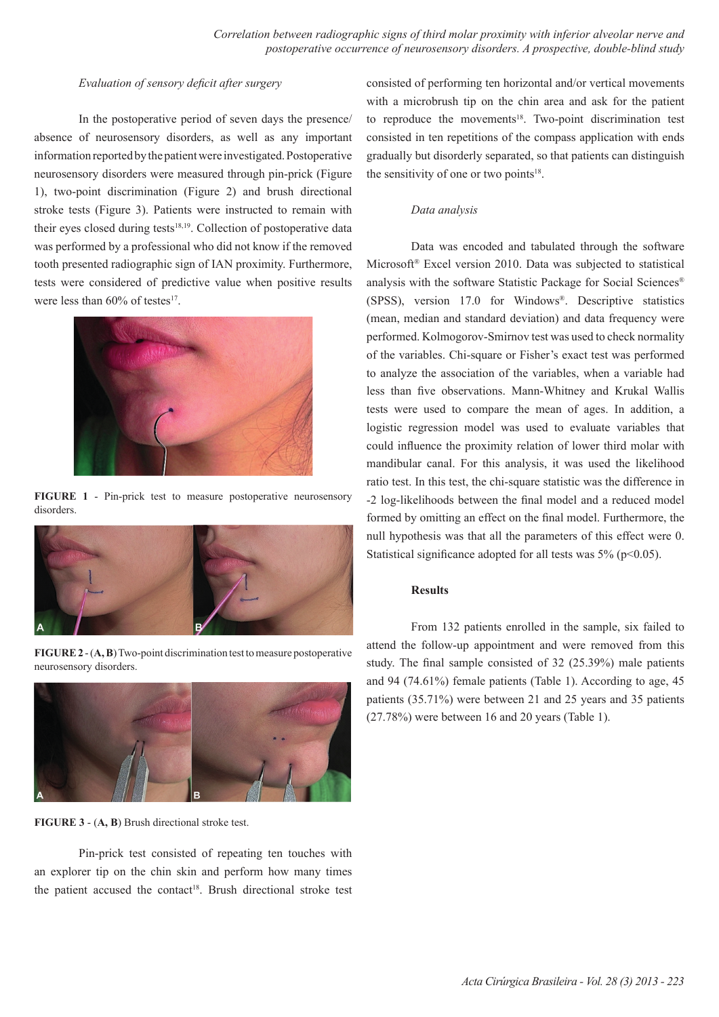## *Evaluation of sensory deficit after surgery*

In the postoperative period of seven days the presence/ absence of neurosensory disorders, as well as any important information reported by the patient were investigated. Postoperative neurosensory disorders were measured through pin-prick (Figure 1), two-point discrimination (Figure 2) and brush directional stroke tests (Figure 3). Patients were instructed to remain with their eyes closed during tests<sup>18,19</sup>. Collection of postoperative data was performed by a professional who did not know if the removed tooth presented radiographic sign of IAN proximity. Furthermore, tests were considered of predictive value when positive results were less than  $60\%$  of testes<sup>17</sup>.



**FIGURE 1** - Pin-prick test to measure postoperative neurosensory disorders.



**FIGURE 2** - (**A, B**) Two-point discrimination test to measure postoperative neurosensory disorders.



**FIGURE 3** - (**A, B**) Brush directional stroke test.

Pin-prick test consisted of repeating ten touches with an explorer tip on the chin skin and perform how many times the patient accused the contact<sup>18</sup>. Brush directional stroke test consisted of performing ten horizontal and/or vertical movements with a microbrush tip on the chin area and ask for the patient to reproduce the movements<sup>18</sup>. Two-point discrimination test consisted in ten repetitions of the compass application with ends gradually but disorderly separated, so that patients can distinguish the sensitivity of one or two points $18$ .

## *Data analysis*

Data was encoded and tabulated through the software Microsoft® Excel version 2010. Data was subjected to statistical analysis with the software Statistic Package for Social Sciences® (SPSS), version 17.0 for Windows®. Descriptive statistics (mean, median and standard deviation) and data frequency were performed. Kolmogorov-Smirnov test was used to check normality of the variables. Chi-square or Fisher's exact test was performed to analyze the association of the variables, when a variable had less than five observations. Mann-Whitney and Krukal Wallis tests were used to compare the mean of ages. In addition, a logistic regression model was used to evaluate variables that could influence the proximity relation of lower third molar with mandibular canal. For this analysis, it was used the likelihood ratio test. In this test, the chi-square statistic was the difference in -2 log-likelihoods between the final model and a reduced model formed by omitting an effect on the final model. Furthermore, the null hypothesis was that all the parameters of this effect were 0. Statistical significance adopted for all tests was  $5\%$  (p<0.05).

## **Results**

From 132 patients enrolled in the sample, six failed to attend the follow-up appointment and were removed from this study. The final sample consisted of  $32$  (25.39%) male patients and 94 (74.61%) female patients (Table 1). According to age, 45 patients (35.71%) were between 21 and 25 years and 35 patients (27.78%) were between 16 and 20 years (Table 1).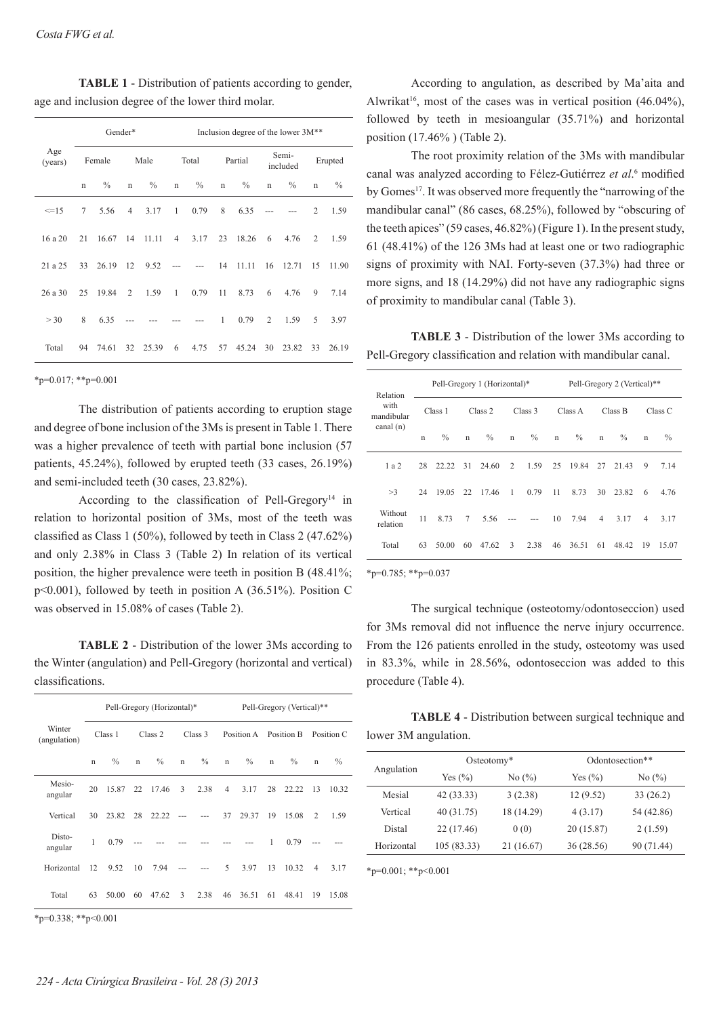**TABLE 1** - Distribution of patients according to gender, age and inclusion degree of the lower third molar.

| Age<br>(years) |             | Gender* |                | Inclusion degree of the lower 3M <sup>**</sup> |                |         |             |         |                |                   |             |               |
|----------------|-------------|---------|----------------|------------------------------------------------|----------------|---------|-------------|---------|----------------|-------------------|-------------|---------------|
|                | Female      |         |                | Male                                           |                | Total   |             | Partial |                | Semi-<br>included |             | Erupted       |
|                | $\mathbf n$ | $\%$    | $\mathbf n$    | $\%$                                           | $\mathbf n$    | $\%$    | $\mathbf n$ | $\%$    | $\mathbf n$    | $\%$              | $\mathbf n$ | $\frac{0}{0}$ |
| $\leq$ =15     | 7           | 5.56    | $\overline{4}$ | 3.17                                           | -1             | 0.79    | 8           | 6.35    |                |                   | 2           | 1.59          |
| 16 a 20        | 21          | 16.67   | 14             | 11.11                                          | $\overline{4}$ | 3.17    | 23          | 18.26   | 6              | 4.76              | 2           | 1.59          |
| 21 a 25        | 33          | 26.19   | 12             | 9.52                                           |                |         | 14          | 11.11   | 16             | 12.71             | 15          | 11.90         |
| 26a30          | 25          | 19.84   | 2              | 1.59                                           | $\mathbf{1}$   | 0.79    | 11          | 8.73    | 6              | 4.76              | 9           | 7.14          |
| > 30           | 8           | 6.35    |                |                                                |                |         | 1           | 0.79    | $\overline{2}$ | 1.59              | 5           | 3.97          |
| Total          | 94          | 74.61   |                | 32 25.39                                       | 6              | 4.75 57 |             | 45.24   | 30             | 23.82             | 33          | 26.19         |

 $*_{p=0.017;}$   $*_{p=0.001}$ 

The distribution of patients according to eruption stage and degree of bone inclusion of the 3Ms is present in Table 1. There was a higher prevalence of teeth with partial bone inclusion (57 patients, 45.24%), followed by erupted teeth (33 cases, 26.19%) and semi-included teeth (30 cases, 23.82%).

According to the classification of Pell-Gregory<sup>14</sup> in relation to horizontal position of 3Ms, most of the teeth was classified as Class 1 (50%), followed by teeth in Class 2 (47.62%) and only 2.38% in Class 3 (Table 2) In relation of its vertical position, the higher prevalence were teeth in position B (48.41%; p<0.001), followed by teeth in position A (36.51%). Position C was observed in 15.08% of cases (Table 2).

**TABLE 2** - Distribution of the lower 3Ms according to the Winter (angulation) and Pell-Gregory (horizontal and vertical) classifications.

|                        |             |               |             | Pell-Gregory (Horizontal)* |             |         | Pell-Gregory (Vertical)** |               |             |               |                |               |
|------------------------|-------------|---------------|-------------|----------------------------|-------------|---------|---------------------------|---------------|-------------|---------------|----------------|---------------|
| Winter<br>(angulation) |             | Class 1       |             | Class 2                    |             | Class 3 |                           | Position A    |             | Position B    |                | Position C    |
|                        | $\mathbf n$ | $\frac{0}{0}$ | $\mathbf n$ | $\frac{0}{0}$              | $\mathbf n$ | $\%$    | $\mathbf n$               | $\frac{0}{0}$ | $\mathbf n$ | $\frac{0}{0}$ | $\mathbf n$    | $\frac{0}{0}$ |
| Mesio-<br>angular      | 20          | 15.87         | 22          | 17.46                      | 3           | 2.38    | $\overline{4}$            | 3.17          | 28          | 22.22         | 13             | 10.32         |
| Vertical               | 30          | 23.82         | 28          | 22.22                      |             |         | 37                        | 29.37         | 19          | 15.08         | 2              | 1.59          |
| Disto-<br>angular      | 1           | 0.79          |             |                            |             |         |                           |               | 1           | 0.79          |                |               |
| Horizontal             | 12          | 9.52          | 10          | 7.94                       |             |         | 5                         | 3.97          | 13          | 10.32         | $\overline{4}$ | 3.17          |
| Total                  | 63          | 50.00         | 60          | 47.62                      | 3           | 2.38    | 46                        | 36.51         | 61          | 48.41         | 19             | 15.08         |

\*p=0.338; \*\*p<0.001

According to angulation, as described by Ma'aita and Alwrikat<sup>16</sup>, most of the cases was in vertical position  $(46.04\%)$ . followed by teeth in mesioangular (35.71%) and horizontal position (17.46% ) (Table 2).

The root proximity relation of the 3Ms with mandibular canal was analyzed according to Félez-Gutiérrez *et al*. 6 modified by Gomes<sup>17</sup>. It was observed more frequently the "narrowing of the mandibular canal" (86 cases, 68.25%), followed by "obscuring of the teeth apices" (59 cases, 46.82%) (Figure 1). In the present study, 61 (48.41%) of the 126 3Ms had at least one or two radiographic signs of proximity with NAI. Forty-seven (37.3%) had three or more signs, and 18 (14.29%) did not have any radiographic signs of proximity to mandibular canal (Table 3).

**TABLE 3** - Distribution of the lower 3Ms according to Pell-Gregory classification and relation with mandibular canal.

| Relation<br>with<br>mandibular<br>canal $(n)$ | Pell-Gregory 1 (Horizontal)* |               |                 |               |                | Pell-Gregory 2 (Vertical)** |             |               |              |               |                |               |
|-----------------------------------------------|------------------------------|---------------|-----------------|---------------|----------------|-----------------------------|-------------|---------------|--------------|---------------|----------------|---------------|
|                                               | Class 1                      |               | Class 2         |               | Class 3        |                             | Class A     |               | Class B      |               | Class C        |               |
|                                               | $\mathbf n$                  | $\frac{0}{0}$ | $\mathbf n$     | $\frac{0}{0}$ | $\mathbf n$    | $\frac{0}{0}$               | $\mathbf n$ | $\frac{0}{0}$ | $\mathsf{n}$ | $\frac{0}{0}$ | $\mathbf n$    | $\frac{0}{0}$ |
| 1 a 2                                         | 28                           | 22.22         | 31              | 24.60         | $\overline{2}$ | 1.59                        | 25          | 19.84         | 27           | 21.43         | 9              | 7.14          |
| >3                                            | 24                           | 19.05         | 22              | 17.46         | -1             | 0.79                        | 11          | 8.73          | 30           | 23.82         | 6              | 4.76          |
| Without<br>relation                           | 11                           | 8.73          | $7\overline{ }$ | 5.56          |                |                             | 10          | 7.94          | 4            | 3.17          | $\overline{4}$ | 3.17          |
| Total                                         | 63                           | 50.00         | 60              | 47.62         | 3              | 2.38                        | 46          | 36.51         | 61           | 48.42         | 19             | 15.07         |

 $*_{p=0.785;}$   $*_{p=0.037}$ 

The surgical technique (osteotomy/odontoseccion) used for 3Ms removal did not influence the nerve injury occurrence. From the 126 patients enrolled in the study, osteotomy was used in 83.3%, while in 28.56%, odontoseccion was added to this procedure (Table 4).

**TABLE 4** - Distribution between surgical technique and lower 3M angulation.

| Angulation | $Osteotomy*$ |                               | Odontosection** |            |  |  |  |
|------------|--------------|-------------------------------|-----------------|------------|--|--|--|
|            | Yes $(\% )$  | No $\left(\frac{9}{6}\right)$ | Yes $(\% )$     | No $(\%)$  |  |  |  |
| Mesial     | 42(33.33)    | 3(2.38)                       | 12 (9.52)       | 33(26.2)   |  |  |  |
| Vertical   | 40 (31.75)   | 18 (14.29)                    | 4(3.17)         | 54 (42.86) |  |  |  |
| Distal     | 22(17.46)    | 0(0)                          | 20(15.87)       | 2(1.59)    |  |  |  |
| Horizontal | 105 (83.33)  | 21 (16.67)                    | 36 (28.56)      | 90 (71.44) |  |  |  |

\*p=0.001; \*\*p<0.001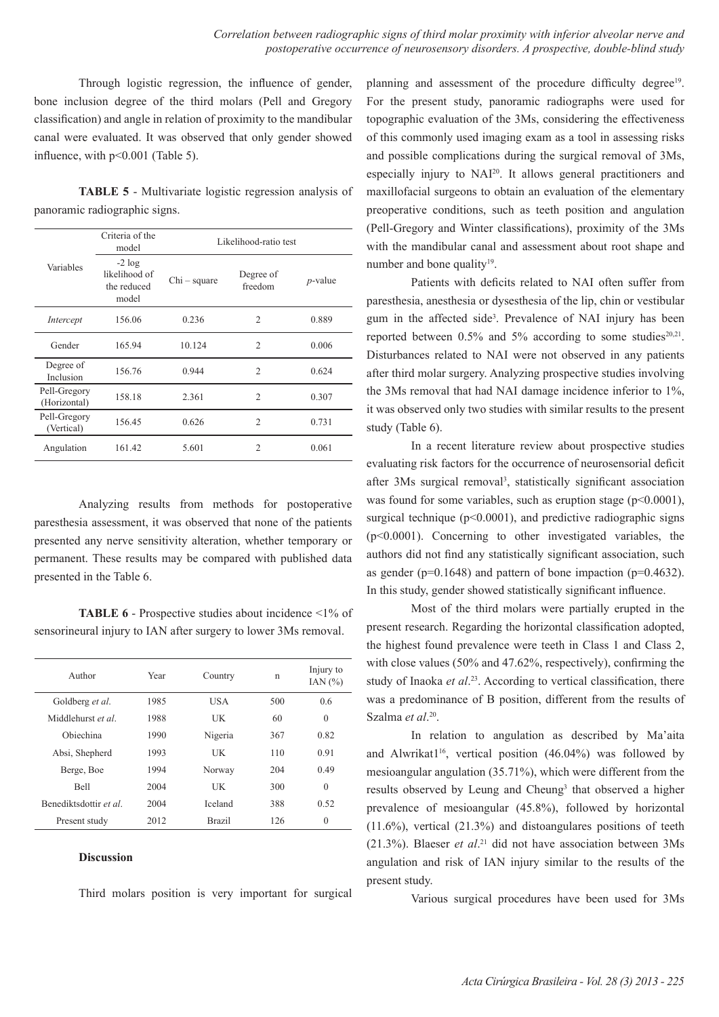Through logistic regression, the influence of gender, bone inclusion degree of the third molars (Pell and Gregory classification) and angle in relation of proximity to the mandibular canal were evaluated. It was observed that only gender showed influence, with p<0.001 (Table 5).

**TABLE 5** - Multivariate logistic regression analysis of panoramic radiographic signs.

|                              | Criteria of the<br>model                          | Likelihood-ratio test |                      |            |
|------------------------------|---------------------------------------------------|-----------------------|----------------------|------------|
| Variables                    | $-2 log$<br>likelihood of<br>the reduced<br>model | $Chi$ – square        | Degree of<br>freedom | $p$ -value |
| Intercept                    | 156.06                                            | 0.236                 | $\overline{2}$       | 0.889      |
| Gender                       | 165.94                                            | 10.124                | $\overline{c}$       | 0.006      |
| Degree of<br>Inclusion       | 156.76                                            | 0.944                 | $\overline{2}$       | 0.624      |
| Pell-Gregory<br>(Horizontal) | 158.18                                            | 2.361                 | $\overline{2}$       | 0.307      |
| Pell-Gregory<br>(Vertical)   | 156.45                                            | 0.626                 | $\overline{2}$       | 0.731      |
| Angulation                   | 161.42                                            | 5.601                 | 2                    | 0.061      |

Analyzing results from methods for postoperative paresthesia assessment, it was observed that none of the patients presented any nerve sensitivity alteration, whether temporary or permanent. These results may be compared with published data presented in the Table 6.

**TABLE 6** - Prospective studies about incidence <1% of sensorineural injury to IAN after surgery to lower 3Ms removal.

| Author                 | Year | Country       |     | Injury to<br>IAN $(%)$ |
|------------------------|------|---------------|-----|------------------------|
| Goldberg et al.        | 1985 | USA           | 500 | 0.6                    |
| Middlehurst et al      | 1988 | UK            | 60  | $\theta$               |
| Obiechina              | 1990 | Nigeria       | 367 | 0.82                   |
| Absi, Shepherd         | 1993 | UK            | 110 | 0.91                   |
| Berge, Boe             | 1994 | Norway        | 204 | 0.49                   |
| <b>Bell</b>            | 2004 | UK            | 300 | $\theta$               |
| Benediktsdottir et al. | 2004 | Iceland       | 388 | 0.52                   |
| Present study          | 2012 | <b>Brazil</b> | 126 | $\theta$               |

#### **Discussion**

Third molars position is very important for surgical

planning and assessment of the procedure difficulty degree<sup>19</sup>. For the present study, panoramic radiographs were used for topographic evaluation of the 3Ms, considering the effectiveness of this commonly used imaging exam as a tool in assessing risks and possible complications during the surgical removal of 3Ms, especially injury to NAI20. It allows general practitioners and maxillofacial surgeons to obtain an evaluation of the elementary preoperative conditions, such as teeth position and angulation (Pell-Gregory and Winter classifications), proximity of the 3Ms with the mandibular canal and assessment about root shape and number and bone quality<sup>19</sup>.

Patients with deficits related to NAI often suffer from paresthesia, anesthesia or dysesthesia of the lip, chin or vestibular gum in the affected side<sup>3</sup>. Prevalence of NAI injury has been reported between  $0.5\%$  and  $5\%$  according to some studies<sup>20,21</sup>. Disturbances related to NAI were not observed in any patients after third molar surgery. Analyzing prospective studies involving the 3Ms removal that had NAI damage incidence inferior to 1%, it was observed only two studies with similar results to the present study (Table 6).

In a recent literature review about prospective studies evaluating risk factors for the occurrence of neurosensorial deficit after 3Ms surgical removal<sup>3</sup>, statistically significant association was found for some variables, such as eruption stage  $(p<0.0001)$ , surgical technique ( $p<0.0001$ ), and predictive radiographic signs (p<0.0001). Concerning to other investigated variables, the authors did not find any statistically significant association, such as gender ( $p=0.1648$ ) and pattern of bone impaction ( $p=0.4632$ ). In this study, gender showed statistically significant influence.

Most of the third molars were partially erupted in the present research. Regarding the horizontal classification adopted, the highest found prevalence were teeth in Class 1 and Class 2, with close values (50% and 47.62%, respectively), confirming the study of Inaoka *et al*. 23. According to vertical classification, there was a predominance of B position, different from the results of Szalma *et al*. 20.

In relation to angulation as described by Ma'aita and Alwrikat1<sup>16</sup>, vertical position  $(46.04\%)$  was followed by mesioangular angulation (35.71%), which were different from the results observed by Leung and Cheung<sup>3</sup> that observed a higher prevalence of mesioangular (45.8%), followed by horizontal  $(11.6\%)$ , vertical  $(21.3\%)$  and distoangulares positions of teeth (21.3%). Blaeser *et al*. 21 did not have association between 3Ms angulation and risk of IAN injury similar to the results of the present study.

Various surgical procedures have been used for 3Ms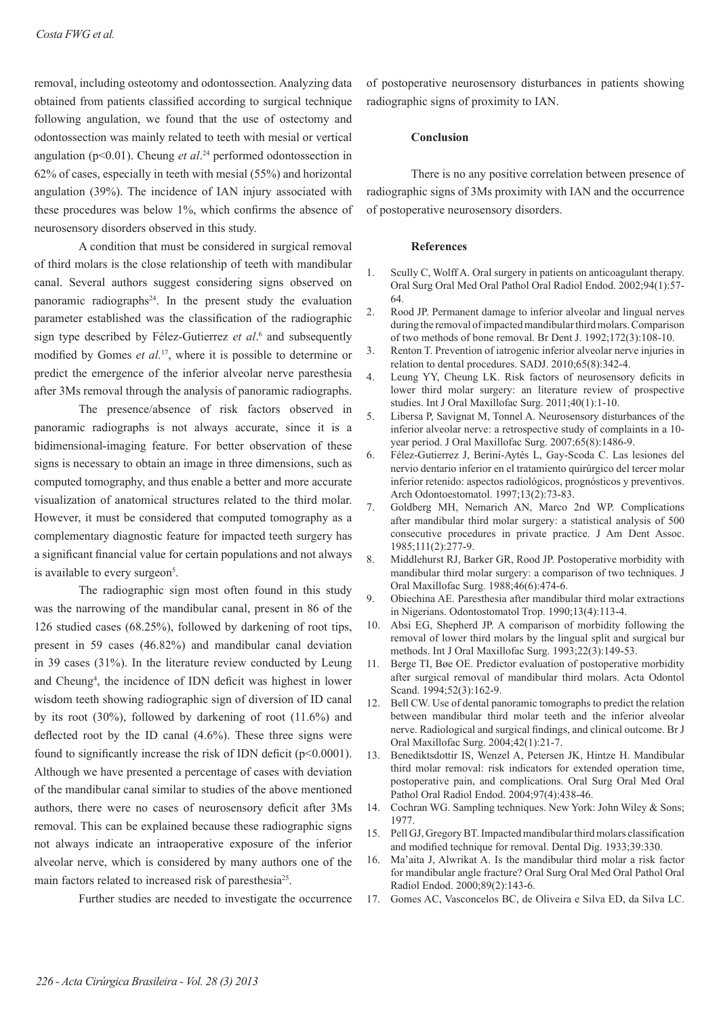removal, including osteotomy and odontossection. Analyzing data obtained from patients classified according to surgical technique following angulation, we found that the use of ostectomy and odontossection was mainly related to teeth with mesial or vertical angulation (p<0.01). Cheung *et al*. <sup>24</sup> performed odontossection in 62% of cases, especially in teeth with mesial (55%) and horizontal angulation (39%). The incidence of IAN injury associated with these procedures was below 1%, which confirms the absence of neurosensory disorders observed in this study.

A condition that must be considered in surgical removal of third molars is the close relationship of teeth with mandibular canal. Several authors suggest considering signs observed on panoramic radiographs<sup>24</sup>. In the present study the evaluation parameter established was the classification of the radiographic sign type described by Félez-Gutierrez *et al*. 6 and subsequently modified by Gomes *et al.*17, where it is possible to determine or predict the emergence of the inferior alveolar nerve paresthesia after 3Ms removal through the analysis of panoramic radiographs.

The presence/absence of risk factors observed in panoramic radiographs is not always accurate, since it is a bidimensional-imaging feature. For better observation of these signs is necessary to obtain an image in three dimensions, such as computed tomography, and thus enable a better and more accurate visualization of anatomical structures related to the third molar. However, it must be considered that computed tomography as a complementary diagnostic feature for impacted teeth surgery has a significant financial value for certain populations and not always is available to every surgeon<sup>5</sup>.

The radiographic sign most often found in this study was the narrowing of the mandibular canal, present in 86 of the 126 studied cases (68.25%), followed by darkening of root tips, present in 59 cases (46.82%) and mandibular canal deviation in 39 cases (31%). In the literature review conducted by Leung and Cheung4 , the incidence of IDN deficit was highest in lower wisdom teeth showing radiographic sign of diversion of ID canal by its root (30%), followed by darkening of root (11.6%) and deflected root by the ID canal (4.6%). These three signs were found to significantly increase the risk of IDN deficit (p<0.0001). Although we have presented a percentage of cases with deviation of the mandibular canal similar to studies of the above mentioned authors, there were no cases of neurosensory deficit after 3Ms removal. This can be explained because these radiographic signs not always indicate an intraoperative exposure of the inferior alveolar nerve, which is considered by many authors one of the main factors related to increased risk of paresthesia<sup>25</sup>.

Further studies are needed to investigate the occurrence

of postoperative neurosensory disturbances in patients showing radiographic signs of proximity to IAN.

### **Conclusion**

There is no any positive correlation between presence of radiographic signs of 3Ms proximity with IAN and the occurrence of postoperative neurosensory disorders.

#### **References**

- 1. Scully C, Wolff A. Oral surgery in patients on anticoagulant therapy. Oral Surg Oral Med Oral Pathol Oral Radiol Endod. 2002;94(1):57- 64.
- 2. Rood JP. Permanent damage to inferior alveolar and lingual nerves during the removal of impacted mandibular third molars. Comparison of two methods of bone removal. Br Dent J. 1992;172(3):108-10.
- 3. Renton T. Prevention of iatrogenic inferior alveolar nerve injuries in relation to dental procedures. SADJ. 2010;65(8):342-4.
- 4. Leung YY, Cheung LK. Risk factors of neurosensory deficits in lower third molar surgery: an literature review of prospective studies. Int J Oral Maxillofac Surg. 2011;40(1):1-10.
- 5. Libersa P, Savignat M, Tonnel A. Neurosensory disturbances of the inferior alveolar nerve: a retrospective study of complaints in a 10 year period. J Oral Maxillofac Surg. 2007;65(8):1486-9.
- 6. Félez-Gutierrez J, Berini-Aytés L, Gay-Scoda C. Las lesiones del nervio dentario inferior en el tratamiento quirúrgico del tercer molar inferior retenido: aspectos radiológicos, prognósticos y preventivos. Arch Odontoestomatol. 1997;13(2):73-83.
- 7. Goldberg MH, Nemarich AN, Marco 2nd WP. Complications after mandibular third molar surgery: a statistical analysis of 500 consecutive procedures in private practice. J Am Dent Assoc. 1985;111(2):277-9.
- 8. Middlehurst RJ, Barker GR, Rood JP. Postoperative morbidity with mandibular third molar surgery: a comparison of two techniques. J Oral Maxillofac Surg. 1988;46(6):474-6.
- 9. Obiechina AE. Paresthesia after mandibular third molar extractions in Nigerians. Odontostomatol Trop. 1990;13(4):113-4.
- 10. Absi EG, Shepherd JP. A comparison of morbidity following the removal of lower third molars by the lingual split and surgical bur methods. Int J Oral Maxillofac Surg. 1993;22(3):149-53.
- 11. Berge TI, Bøe OE. Predictor evaluation of postoperative morbidity after surgical removal of mandibular third molars. Acta Odontol Scand. 1994;52(3):162-9.
- 12. Bell CW. Use of dental panoramic tomographs to predict the relation between mandibular third molar teeth and the inferior alveolar nerve. Radiological and surgical findings, and clinical outcome. Br J Oral Maxillofac Surg. 2004;42(1):21-7.
- 13. Benediktsdottir IS, Wenzel A, Petersen JK, Hintze H. Mandibular third molar removal: risk indicators for extended operation time, postoperative pain, and complications. Oral Surg Oral Med Oral Pathol Oral Radiol Endod. 2004;97(4):438-46.
- 14. Cochran WG. Sampling techniques. New York: John Wiley & Sons; 1977.
- 15. Pell GJ, Gregory BT. Impacted mandibular third molars classification and modified technique for removal. Dental Dig. 1933;39:330.
- 16. Ma'aita J, Alwrikat A. Is the mandibular third molar a risk factor for mandibular angle fracture? Oral Surg Oral Med Oral Pathol Oral Radiol Endod. 2000;89(2):143-6.
- 17. Gomes AC, Vasconcelos BC, de Oliveira e Silva ED, da Silva LC.